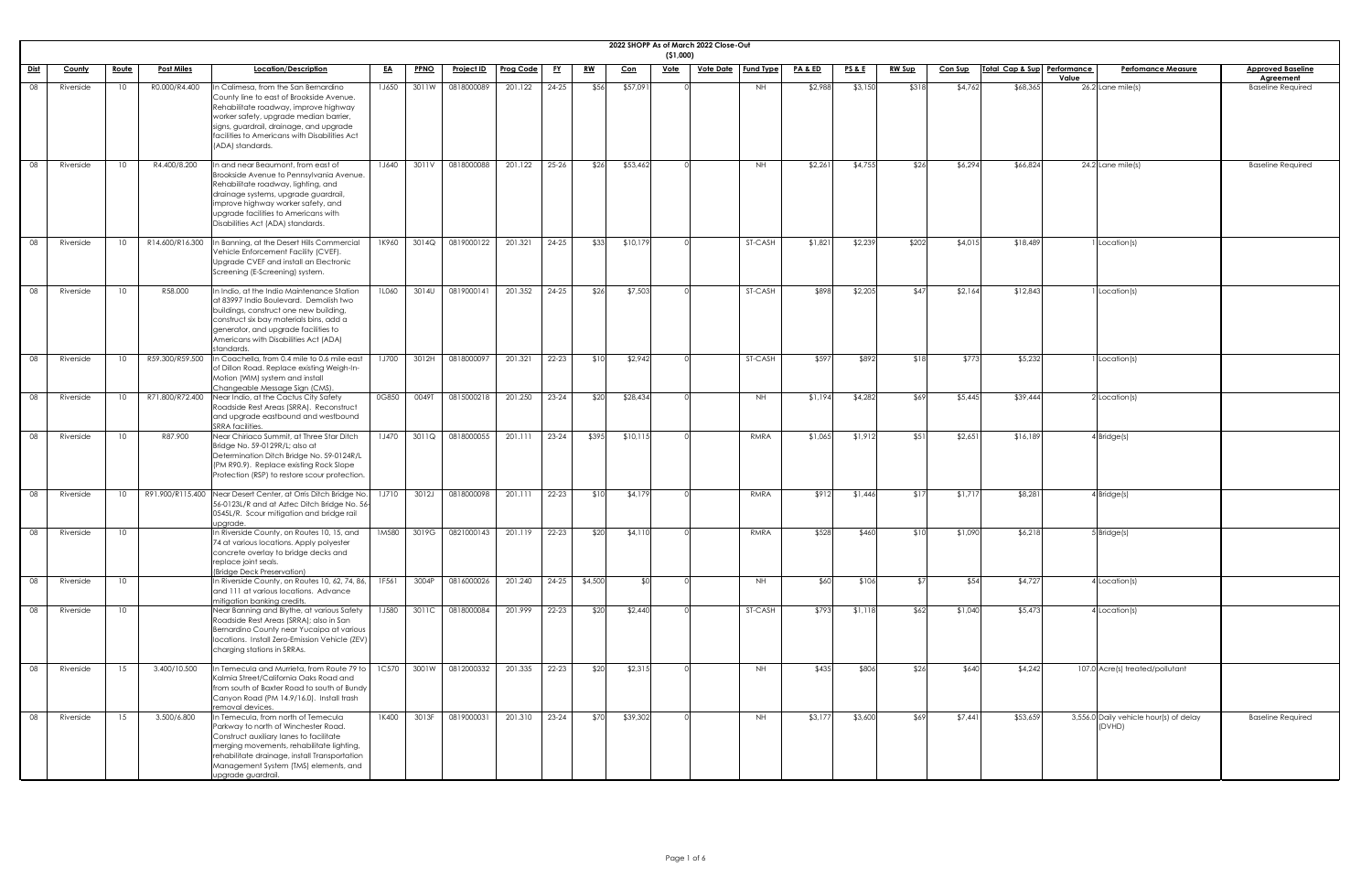|                 |           |                 |                   |                                                                                                                                                                                                                                                                                     |              |             |            |                  |           |           |            | (51,000)    | 2022 SHOPP As of March 2022 Close-Out |                  |                    |                 |               |                |                             |                                                  |                                              |
|-----------------|-----------|-----------------|-------------------|-------------------------------------------------------------------------------------------------------------------------------------------------------------------------------------------------------------------------------------------------------------------------------------|--------------|-------------|------------|------------------|-----------|-----------|------------|-------------|---------------------------------------|------------------|--------------------|-----------------|---------------|----------------|-----------------------------|--------------------------------------------------|----------------------------------------------|
| Dist            | County    | <u>Route</u>    | <b>Post Miles</b> | Location/Description                                                                                                                                                                                                                                                                | <u>EA</u>    | <b>PPNO</b> | Project ID | <b>Prog Code</b> | <u>FY</u> | <u>RW</u> | <u>Con</u> | <b>Vote</b> | <b>Vote Date</b>                      | <b>Fund Type</b> | <u>PA &amp; ED</u> | <u>PS&amp;E</u> | <b>RW Sup</b> | <b>Con Sup</b> | Total Cap & Sup Performance | <b>Perfomance Measure</b>                        | <b>Approved Baseline</b>                     |
| 08              | Riverside | 10              | R0.000/R4.400     | n Calimesa, from the San Bernardino<br>County line to east of Brookside Avenue.<br>Rehabilitate roadway, improve highway<br>worker safety, upgrade median barrier,<br>signs, guardrail, drainage, and upgrade<br>facilities to Americans with Disabilities Act<br>(ADA) standards.  | 1J650        | 3011W       | 0818000089 | 201.122          | $24 - 25$ | \$56      | \$57,091   |             |                                       | <b>NH</b>        | \$2,988            | \$3,150         | \$318         | \$4,762        | \$68,365                    | Value<br>$26.2$ Lane mile(s)                     | <b>Agreement</b><br><b>Baseline Required</b> |
| 08              | Riverside | 10 <sup>1</sup> | R4.400/8.200      | In and near Beaumont, from east of<br>Brookside Avenue to Pennsylvania Avenue.<br>Rehabilitate roadway, lighting, and<br>drainage systems, upgrade guardrail,<br>improve highway worker safety, and<br>upgrade facilities to Americans with<br>Disabilities Act (ADA) standards.    | 1J640        | 3011V       | 0818000088 | 201.122          | $25 - 26$ | \$26      | \$53,462   |             |                                       | <b>NH</b>        | \$2,261            | \$4,755         | \$26          | \$6,294        | \$66,824                    | $24.2$ Lane mile(s)                              | <b>Baseline Required</b>                     |
| $\overline{08}$ | Riverside | 10 <sup>°</sup> | R14.600/R16.300   | In Banning, at the Desert Hills Commercial<br>Vehicle Enforcement Facility (CVEF).<br>Upgrade CVEF and install an Electronic<br>Screening (E-Screening) system.                                                                                                                     | 1K960        | 3014Q       | 0819000122 | 201.321          | $24 - 25$ | \$33      | \$10,179   |             |                                       | ST-CASH          | \$1,821            | \$2,239         | \$202         | \$4,015        | \$18,489                    | Location(s)                                      |                                              |
| 08              | Riverside | 10 <sup>1</sup> | R58.000           | In Indio, at the Indio Maintenance Station<br>at 83997 Indio Boulevard. Demolish two<br>buildings, construct one new building,<br>construct six bay materials bins, add a<br>generator, and upgrade facilities to<br>Americans with Disabilities Act (ADA)<br>standards.            | 1L060        | 3014U       | 0819000141 | 201.352          | $24 - 25$ | \$26      | \$7,503    |             |                                       | ST-CASH          | \$898              | \$2,205         | \$47          | \$2,164        | \$12,843                    | Location(s)                                      |                                              |
| 08              | Riverside |                 | R59.300/R59.500   | Coachella, from 0.4 mile to 0.6 mile east<br>of Dillon Road. Replace existing Weigh-In-<br>Motion (WIM) system and install<br>Changeable Message Sign (CMS).                                                                                                                        | 1J700        | 3012H       | 0818000097 | 201.321          | $22 - 23$ | \$10      | \$2,942    |             |                                       | ST-CASH          | \$597              | \$892           |               | \$773          | \$5,232                     | Location(s)                                      |                                              |
| $\overline{08}$ | Riverside | 10              | R71.800/R72.400   | Near Indio, at the Cactus City Safety<br>Roadside Rest Areas (SRRA). Reconstruct<br>and upgrade eastbound and westbound<br><b>SRRA</b> facilities.                                                                                                                                  | 0G850        | 0049T       | 0815000218 | 201.250          | $23 - 24$ | \$20      | \$28,434   |             |                                       | <b>NH</b>        | \$1,194            | \$4,282         | \$69          | \$5,445        | \$39,444                    | $2$ Location(s)                                  |                                              |
| $\overline{08}$ | Riverside | 10 <sup>1</sup> | R87.900           | Near Chiriaco Summit, at Three Star Ditch<br>Bridge No. 59-0129R/L; also at<br>Determination Ditch Bridge No. 59-0124R/L<br>(PM R90.9). Replace existing Rock Slope<br>Protection (RSP) to restore scour protection.                                                                | 1J470        | 3011Q       | 0818000055 | 201.111          | $23 - 24$ | \$395     | \$10,115   |             |                                       | RMRA             | \$1,065            | \$1,912         | \$51          | \$2,651        | \$16,189                    | $4$ Bridge(s)                                    |                                              |
| 08              | Riverside |                 |                   | R91.900/R115.400 Near Desert Center, at Orris Ditch Bridge No.<br>56-0123L/R and at Aztec Ditch Bridge No. 56-<br>0545L/R. Scour mitigation and bridge rail<br>upgrade.                                                                                                             | 1J710        | 3012J       | 0818000098 | 201.111          | $22 - 23$ | \$10      | \$4,179    |             |                                       | RMRA             | \$912              | \$1,446         | \$17          | \$1,717        | \$8,281                     | $4$ Bridge(s)                                    |                                              |
| $\overline{08}$ | Riverside | 10 <sup>°</sup> |                   | In Riverside County, on Routes 10, 15, and<br>74 at various locations. Apply polyester<br>concrete overlay to bridge decks and<br>replace joint seals.<br>(Bridge Deck Preservation)                                                                                                | 1M580        | 3019G       | 0821000143 | 201.119          | $22 - 23$ | \$20      | \$4,110    |             |                                       | RMRA             | \$528              | \$460           | \$10          | \$1,090        | \$6,218                     | $5$ Bridge(s)                                    |                                              |
| 08              | Riverside | 10              |                   | In Riverside County, on Routes 10, 62, 74, 86,<br>and 111 at various locations. Advance<br>mitigation banking credits.                                                                                                                                                              | 1F561        | 3004P       | 0816000026 | 201.240          | $24-25$   | \$4,500   | \$OI       |             |                                       | NH.              | \$60               | \$106           |               | \$54           | \$4,727                     | 4 Location(s)                                    |                                              |
| 08              | Riverside | 10 <sup>°</sup> |                   | Near Banning and Blythe, at various Safety<br>Roadside Rest Areas (SRRA); also in San<br>Bernardino County near Yucaipa at various<br>locations. Install Zero-Emission Vehicle (ZEV)<br>charging stations in SRRAs.                                                                 | <b>1J580</b> | 3011C       | 0818000084 | 201.999          | $22 - 23$ | \$20      | \$2,440    |             |                                       | ST-CASH          | \$793              | \$1,118         | \$62          | \$1,040        | \$5,473                     | 4 Location(s)                                    |                                              |
| 08              | Riverside | 15              | 3.400/10.500      | In Temecula and Murrieta, from Route 79 to<br>Kalmia Street/California Oaks Road and<br>from south of Baxter Road to south of Bundy<br>Canyon Road (PM 14.9/16.0). Install trash<br>removal devices.                                                                                | 1C570        | 3001W       | 0812000332 | 201.335          | $22 - 23$ | \$20      | \$2,315    |             |                                       | NH.              | \$435              | \$806           | \$26          | \$640          | \$4,242                     | 107.0 Acre(s) treated/pollutant                  |                                              |
|                 | Riverside | 15              | 3.500/6.800       | In Temecula, from north of Temecula<br>Parkway to north of Winchester Road.<br>Construct auxiliary lanes to facilitate<br>merging movements, rehabilitate lighting,<br>rehabilitate drainage, install Transportation<br>Management System (TMS) elements, and<br>upgrade guardrail. | 1K400        | 3013F       | 0819000031 | 201.310          | $23 - 24$ | \$70      | \$39,302   |             |                                       | <b>NH</b>        | \$3,177            | \$3,600         | \$69          | \$7,441        | \$53,659                    | 3,556.0 Daily vehicle hour(s) of delay<br>(DVHD) | <b>Baseline Required</b>                     |

| $\overline{\text{ne}}$   |
|--------------------------|
| $\overline{\mathsf{ed}}$ |
|                          |
|                          |
|                          |
| $\overline{\mathsf{B}}$  |
|                          |
|                          |
|                          |
|                          |
|                          |
|                          |
|                          |
|                          |
|                          |
|                          |
|                          |
|                          |
|                          |
|                          |
|                          |
|                          |
|                          |
|                          |
|                          |
|                          |
|                          |
|                          |
|                          |
|                          |
|                          |
| d                        |
| ¢                        |
|                          |
|                          |
|                          |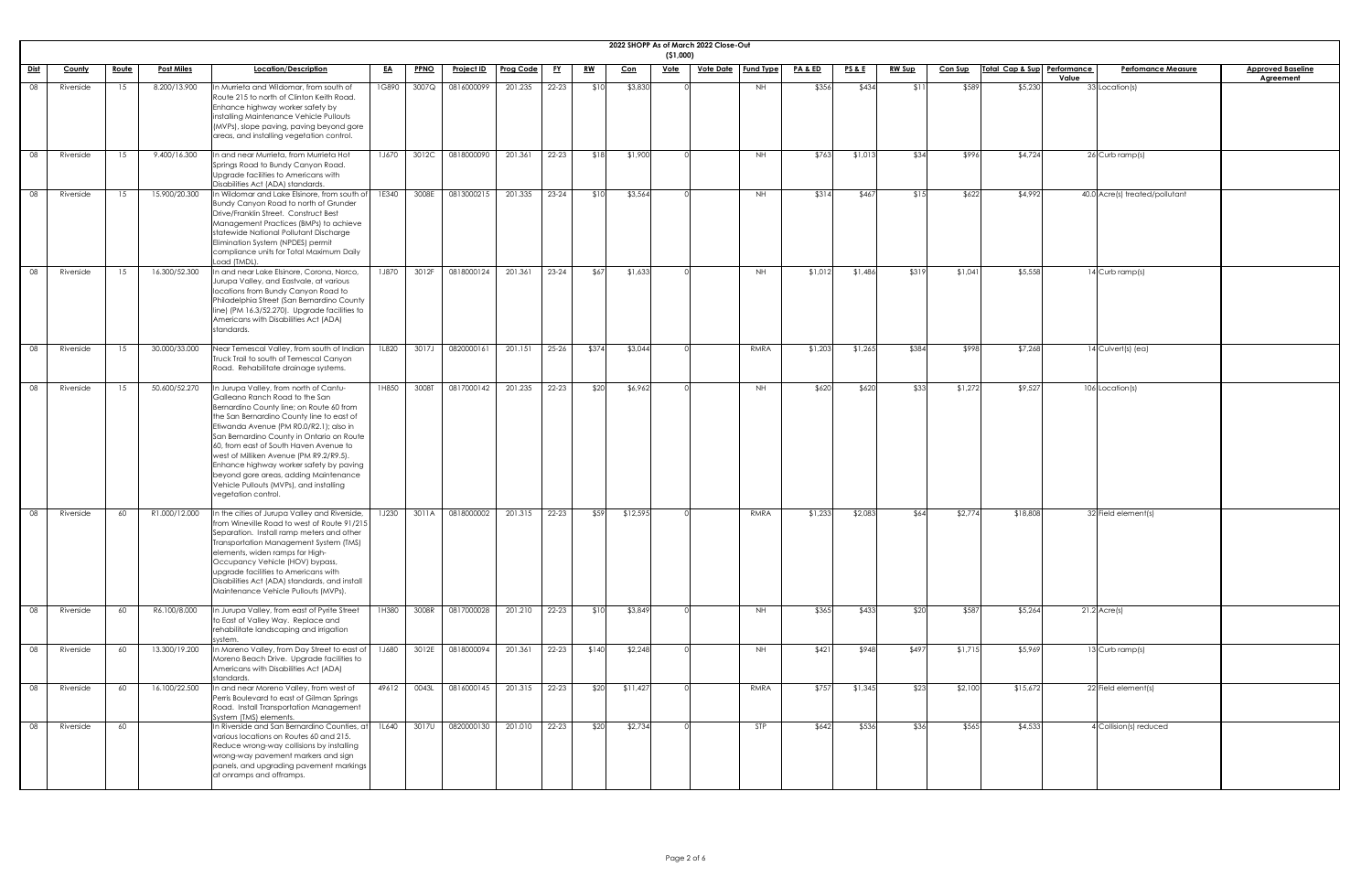|             |               |              |                   |                                                                                                                                                                                                                                                                                                                                                                                                                                                                                                      |              |             |                   |                  |           |           |            | (51,000)    | 2022 SHOPP As of March 2022 Close-Out |                  |                    |                 |               |                |                             |                                    |                          |
|-------------|---------------|--------------|-------------------|------------------------------------------------------------------------------------------------------------------------------------------------------------------------------------------------------------------------------------------------------------------------------------------------------------------------------------------------------------------------------------------------------------------------------------------------------------------------------------------------------|--------------|-------------|-------------------|------------------|-----------|-----------|------------|-------------|---------------------------------------|------------------|--------------------|-----------------|---------------|----------------|-----------------------------|------------------------------------|--------------------------|
| <u>Dist</u> | <b>County</b> | <u>Route</u> | <b>Post Miles</b> | Location/Description                                                                                                                                                                                                                                                                                                                                                                                                                                                                                 | <u>EA</u>    | <b>PPNO</b> | <u>Project ID</u> | <b>Prog Code</b> | <u>FY</u> | <u>RW</u> | <u>Con</u> | <u>Vote</u> | <u>Vote Date</u>                      | <b>Fund Type</b> | <u>PA &amp; ED</u> | <u>PS&amp;E</u> | <b>RW Sup</b> | <u>Con Sup</u> | Total Cap & Sup Performance | <b>Perfomance Measure</b><br>Value | <b>Approved Baseline</b> |
| 08          | Riverside     | 15           | 8.200/13.900      | In Murrieta and Wildomar, from south of<br>Route 215 to north of Clinton Keith Road.<br>Enhance highway worker safety by<br>installing Maintenance Vehicle Pullouts<br>(MVPs), slope paving, paving beyond gore<br>areas, and installing vegetation control.                                                                                                                                                                                                                                         | 1G890        | 3007Q       | 0816000099        | 201.235          | $22 - 23$ | \$10      | \$3,830    |             |                                       | NH               | \$356              | \$434           | \$1           | \$589          | \$5,230                     | 33 Location(s)                     | <b>Agreement</b>         |
| 08          | Riverside     | 15           | 9.400/16.300      | In and near Murrieta, from Murrieta Hot<br>Springs Road to Bundy Canyon Road.<br>Upgrade facilities to Americans with<br>Disabilities Act (ADA) standards.                                                                                                                                                                                                                                                                                                                                           | 1J670        | 3012C       | 0818000090        | 201.361          | 22-23     | \$18      | \$1,900    |             |                                       | <b>NH</b>        | \$763              | \$1,013         | \$34          | \$996          | \$4,724                     | $26$ Curb ramp(s)                  |                          |
| 08          | Riverside     | 15           | 15.900/20.300     | In Wildomar and Lake Elsinore, from south of<br>Bundy Canyon Road to north of Grunder<br>Drive/Franklin Street. Construct Best<br>Management Practices (BMPs) to achieve<br>statewide National Pollutant Discharge<br>Elimination System (NPDES) permit<br>compliance units for Total Maximum Daily<br>Load (TMDL).                                                                                                                                                                                  | 1E340        | 3008E       | 0813000215        | 201.335          | $23 - 24$ | \$10      | \$3,564    |             |                                       | NH               | \$314              | \$467           | \$15          | \$622          | \$4,992                     | 40.0 Acre(s) treated/pollutant     |                          |
| 08          | Riverside     | 15           | 16.300/52.300     | In and near Lake Elsinore, Corona, Norco,<br>Jurupa Valley, and Eastvale, at various<br>locations from Bundy Canyon Road to<br>Philadelphia Street (San Bernardino County<br>line) (PM 16.3/52.270). Upgrade facilities to<br>Americans with Disabilities Act (ADA)<br>standards.                                                                                                                                                                                                                    | 1J870        | 3012F       | 0818000124        | 201.361          | 23-24     | \$67      | \$1,633    |             |                                       | <b>NH</b>        | \$1,012            | \$1,486         | \$319         | \$1,041        | \$5,558                     | 14 Curb ramp(s)                    |                          |
| 08          | Riverside     | 15           | 30.000/33.000     | Near Temescal Valley, from south of Indian<br>Truck Trail to south of Temescal Canyon<br>Road. Rehabilitate drainage systems.                                                                                                                                                                                                                                                                                                                                                                        | 1L820        | 3017J       | 0820000161        | 201.151          | 25-26     | \$374     | \$3,044    |             |                                       | RMRA             | \$1,203            | \$1,265         | \$384         | \$998          | \$7,268                     | 14 Culvert(s) (ea)                 |                          |
| 08          | Riverside     | 15           | 50.600/52.270     | In Jurupa Valley, from north of Cantu-<br>Galleano Ranch Road to the San<br>Bernardino County line; on Route 60 from<br>the San Bernardino County line to east of<br>Etiwanda Avenue (PM R0.0/R2.1); also in<br>San Bernardino County in Ontario on Route<br>60, from east of South Haven Avenue to<br>west of Milliken Avenue (PM R9.2/R9.5).<br>Enhance highway worker safety by paving<br>beyond gore areas, adding Maintenance<br>Vehicle Pullouts (MVPs), and installing<br>vegetation control. | 1H850        | 3008T       | 0817000142        | 201.235          | $22 - 23$ | \$20      | \$6,962    |             |                                       | NH               | \$620              | \$620           | \$33          | \$1,272        | \$9,527                     | 106 Location(s)                    |                          |
| 08          | Riverside     | 60           | R1.000/12.000     | In the cities of Jurupa Valley and Riverside,<br>from Wineville Road to west of Route 91/215<br>Separation. Install ramp meters and other<br>Transportation Management System (TMS)<br>elements, widen ramps for High-<br>Occupancy Vehicle (HOV) bypass,<br>upgrade facilities to Americans with<br>Disabilities Act (ADA) standards, and install<br>Maintenance Vehicle Pullouts (MVPs).                                                                                                           | 1J230        | 3011A       | 0818000002        | 201.315          | $22 - 23$ | \$59      | \$12,595   |             |                                       | RMRA             | \$1,233            | \$2,083         | \$64          | \$2,774        | \$18,808                    | 32 Field element(s)                |                          |
| 08          | Riverside     | 60           | R6.100/8.000      | In Jurupa Valley, from east of Pyrite Street<br>to East of Valley Way. Replace and<br>rehabilitate landscaping and irrigation<br>system                                                                                                                                                                                                                                                                                                                                                              | 1H380        | 3008R       | 0817000028        | 201.210          | 22-23     | \$10      | \$3,849    |             |                                       | NH               | \$365              | \$433           | \$20          | \$587          | \$5,264                     | $21.2$ Acre(s)                     |                          |
| 08          | Riverside     | 60           | 13.300/19.200     | In Moreno Valley, from Day Street to east of<br>Moreno Beach Drive. Upgrade facilities to<br>Americans with Disabilities Act (ADA)<br>standards.                                                                                                                                                                                                                                                                                                                                                     | <b>1J680</b> | 3012E       | 0818000094        | 201.361          | 22-23     | \$140     | \$2,248    |             |                                       | NH               | \$421              | \$948           | \$497         | \$1,715        | \$5,969                     | 13 Curb ramp(s)                    |                          |
| 08          | Riverside     | 60           | 16.100/22.500     | In and near Moreno Valley, from west of<br>Perris Boulevard to east of Gilman Springs<br>Road. Install Transportation Management<br>System (TMS) elements.                                                                                                                                                                                                                                                                                                                                           | 49612        | 0043L       | 0816000145        | 201.315          | 22-23     | \$20      | \$11,427   |             |                                       | RMRA             | \$757              | \$1,345         | \$23          | \$2,100        | \$15,672                    | 22 Field element(s)                |                          |
| 08          | Riverside     | 60           |                   | In Riverside and San Bernardino Counties, at<br>various locations on Routes 60 and 215.<br>Reduce wrong-way collisions by installing<br>wrong-way pavement markers and sign<br>panels, and upgrading pavement markings<br>at onramps and offramps.                                                                                                                                                                                                                                                   | 1L640        | 3017U       | 0820000130        | 201.010          | 22-23     | \$20      | \$2,734    |             |                                       | STP              | \$642              | \$536           | \$36          | \$565          | \$4,533                     | 4 Collision(s) reduced             |                          |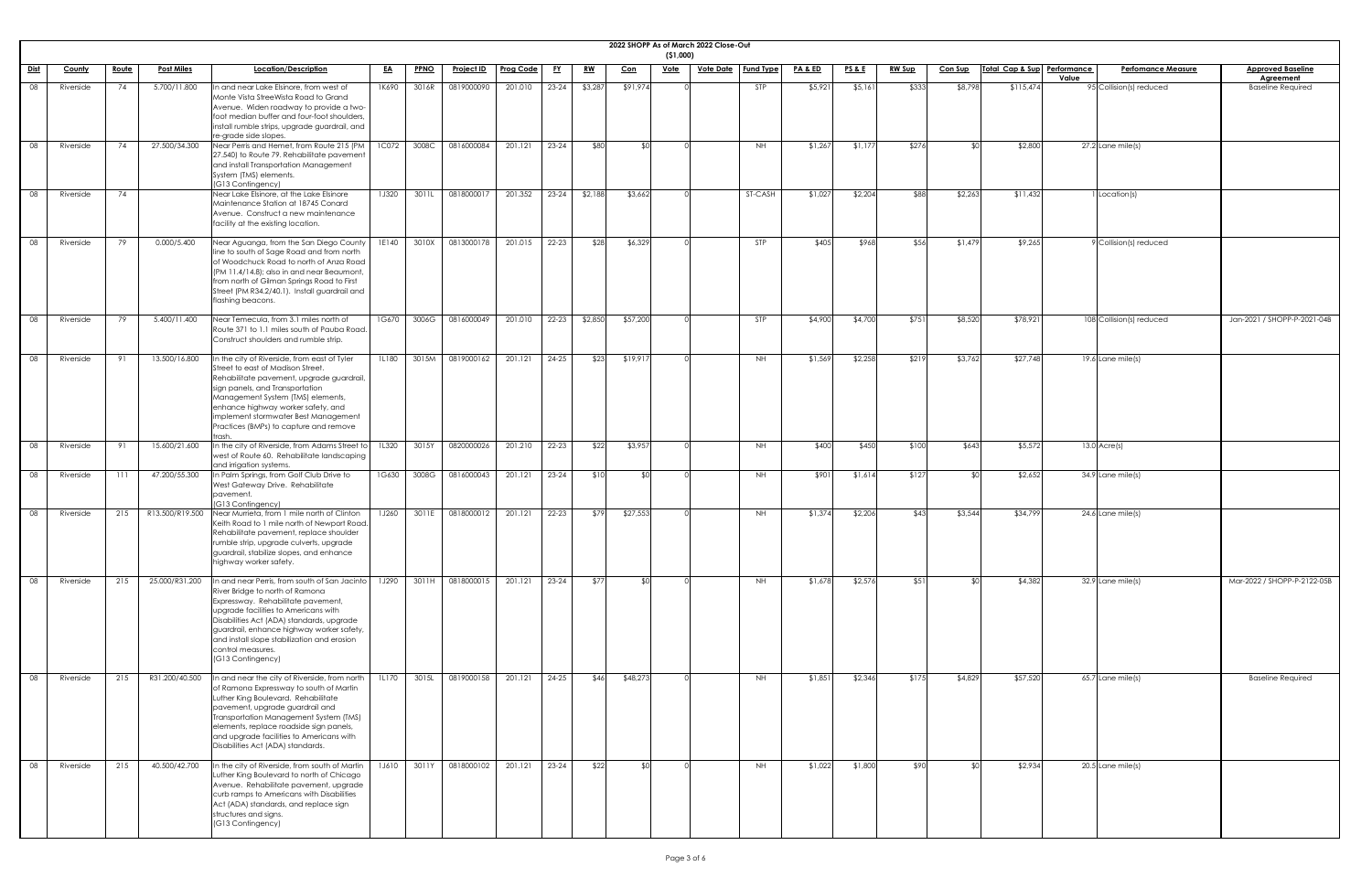|             |               |              |                   |                                                                                                                                                                                                                                                                                                                                                   |           |             |                   |                  |           |           |           | (51,000)    | 2022 SHOPP As of March 2022 Close-Out |                              |                    |                 |               |                |                             |       |                           |                                              |
|-------------|---------------|--------------|-------------------|---------------------------------------------------------------------------------------------------------------------------------------------------------------------------------------------------------------------------------------------------------------------------------------------------------------------------------------------------|-----------|-------------|-------------------|------------------|-----------|-----------|-----------|-------------|---------------------------------------|------------------------------|--------------------|-----------------|---------------|----------------|-----------------------------|-------|---------------------------|----------------------------------------------|
| <u>Dist</u> | <b>County</b> | <u>Route</u> | <b>Post Miles</b> | Location/Description                                                                                                                                                                                                                                                                                                                              | <u>EA</u> | <b>PPNO</b> | <u>Project ID</u> | <b>Prog Code</b> | <u>FY</u> | <u>RW</u> | Con       | <u>Vote</u> |                                       | <u>Vote Date</u>   Fund Type | <u>PA &amp; ED</u> | <u>PS&amp;E</u> | <b>RW Sup</b> | <b>Con Sup</b> | Total Cap & Sup Performance | Value | <b>Perfomance Measure</b> | <b>Approved Baseline</b><br><b>Agreement</b> |
| 08          | Riverside     | 74           | 5.700/11.800      | n and near Lake Elsinore, from west of<br>Monte Vista StreeWista Road to Grand<br>Avenue. Widen roadway to provide a two-<br>foot median buffer and four-foot shoulders,<br>install rumble strips, upgrade guardrail, and<br>re-grade side slopes.                                                                                                | 1K690     | 3016R       | 0819000090        | 201.010          | $23 - 24$ | \$3,287   | \$91,974  |             |                                       | <b>STP</b>                   | \$5,921            | \$5,161         | \$333         | \$8,798        | \$115,474                   |       | 95 Collision(s) reduced   | <b>Baseline Required</b>                     |
| 08          | Riverside     | 74           | 27.500/34.300     | Near Perris and Hemet, from Route 215 (PM<br>27.540) to Route 79. Rehabilitate pavement<br>and install Transportation Management<br>System (TMS) elements.<br>(G13 Contingency)                                                                                                                                                                   | 1C072     | 3008C       | 0816000084        | 201.121          | $23 - 24$ | \$80      | ו∩≯       |             |                                       | <b>NH</b>                    | \$1,267            | \$1,177         | \$276         | <b>SO</b>      | \$2,800                     |       | 27.2 Lane mile(s)         |                                              |
| 08          | Riverside     | 74           |                   | Near Lake Elsinore, at the Lake Elsinore<br>Maintenance Station at 18745 Conard<br>Avenue. Construct a new maintenance<br>facility at the existing location.                                                                                                                                                                                      | 1J320     | 3011L       | 0818000017        | 201.352          | $23 - 24$ | \$2,188   | \$3,662   |             |                                       | ST-CASH                      | \$1,027            | \$2,204         | \$88          | \$2,263        | \$11,432                    |       | 1 Location(s)             |                                              |
| 08          | Riverside     | 79           | 0.000/5.400       | Near Aguanga, from the San Diego County<br>line to south of Sage Road and from north<br>of Woodchuck Road to north of Anza Road<br>(PM 11.4/14.8); also in and near Beaumont,<br>from north of Gilman Springs Road to First<br>Street (PM R34.2/40.1). Install guardrail and<br>flashing beacons.                                                 | 1E140     | 3010X       | 0813000178        | 201.015          | 22-23     | \$28      | \$6,329   |             |                                       | STP                          | \$405              | \$968           | \$56          | \$1,479        | \$9,265                     |       | 9 Collision(s) reduced    |                                              |
| 08          | Riverside     | -79          | 5.400/11.400      | Near Temecula, from 3.1 miles north of<br>Route 371 to 1.1 miles south of Pauba Road.<br>Construct shoulders and rumble strip.                                                                                                                                                                                                                    | 1G670     | 3006G       | 0816000049        | 201.010          | $22 - 23$ | \$2,850   | \$57,200  |             |                                       | <b>STP</b>                   | \$4,900            | \$4,700         | \$751         | \$8,520        | \$78,921                    |       | 108 Collision(s) reduced  | Jan-2021 / SHOPP-P-2021-04B                  |
| 08          | Riverside     | 91           | 13.500/16.800     | In the city of Riverside, from east of Tyler<br>Street to east of Madison Street.<br>Rehabilitate pavement, upgrade guardrail,<br>sign panels, and Transportation<br>Management System (TMS) elements,<br>enhance highway worker safety, and<br>implement stormwater Best Management<br>Practices (BMPs) to capture and remove                    | 1L180     | 3015M       | 0819000162        | 201.121          | $24 - 25$ | \$23      | \$19,917  |             |                                       | <b>NH</b>                    | \$1,569            | \$2,258         | \$219         | \$3,762        | \$27,748                    |       | $19.6$ Lane mile(s)       |                                              |
| 08          | Riverside     | 91           | 15.600/21.600     | In the city of Riverside, from Adams Street to<br>west of Route 60. Rehabilitate landscaping<br>and irrigation systems.                                                                                                                                                                                                                           | 1L320     | 3015Y       | 0820000026        | 201.210          | 22-23     | \$22      | \$3,957   |             |                                       | <b>NH</b>                    | \$400              | \$450           | \$100         | \$643          | \$5,572                     |       | $13.0$ Acre(s)            |                                              |
| 08          | Riverside     |              | 47.200/55.300     | In Palm Springs, from Golf Club Drive to<br>West Gateway Drive. Rehabilitate<br>pavement.<br>(G13 Contingency)                                                                                                                                                                                                                                    | 1G630     | 3008G       | 0816000043        | 201.121          | $23 - 24$ | \$10      | .  የበ     |             |                                       | <b>NH</b>                    | \$901              | \$1,614         | \$127         | ו∩≯            | \$2,652                     |       | 34.9 Lane mile(s)         |                                              |
| 08          | Riverside     | 215          | R13.500/R19.500   | Near Murrieta, from 1 mile north of Clinton<br>Keith Road to 1 mile north of Newport Road.<br>Rehabilitate pavement, replace shoulder<br>rumble strip, upgrade culverts, upgrade<br>guardrail, stabilize slopes, and enhance<br>highway worker safety.                                                                                            | 1J260     |             | 3011E 0818000012  | 201.121          | $22 - 23$ | \$79      | \$27,553  |             |                                       | <b>NH</b>                    | \$1,374            | \$2,206         | \$43          | \$3,544        | \$34,799                    |       | $24.6$ Lane mile(s)       |                                              |
| 08          | Riverside     | 215          | 25.000/R31.200    | In and near Perris, from south of San Jacinto<br>River Bridge to north of Ramona<br>Expressway. Rehabilitate pavement,<br>upgrade facilities to Americans with<br>Disabilities Act (ADA) standards, upgrade<br>guardrail, enhance highway worker safety,<br>and install slope stabilization and erosion<br>control measures.<br>(G13 Contingency) | 1J290     |             | 3011H 0818000015  | 201.121          | $23 - 24$ | \$77      | <b>RO</b> |             |                                       | <b>NH</b>                    | \$1,678            | \$2,576         | \$51          | ¶∩\$           | \$4,382                     |       | 32.9 Lane mile(s)         | Mar-2022 / SHOPP-P-2122-05B                  |
| 08          | Riverside     | 215          | R31.200/40.500    | In and near the city of Riverside, from north<br>of Ramona Expressway to south of Martin<br>Luther King Boulevard. Rehabilitate<br>pavement, upgrade guardrail and<br>Transportation Management System (TMS)<br>elements, replace roadside sign panels,<br>and upgrade facilities to Americans with<br>Disabilities Act (ADA) standards.          | 1L170     | 3015L       | 0819000158        | 201.121          | $24 - 25$ | \$46      | \$48,273  |             |                                       | <b>NH</b>                    | \$1,851            | \$2,346         | \$175         | \$4,829        | \$57,520                    |       | $65.7$ Lane mile(s)       | <b>Baseline Required</b>                     |
| 08          | Riverside     | 215          | 40.500/42.700     | In the city of Riverside, from south of Martin<br>Luther King Boulevard to north of Chicago<br>Avenue. Rehabilitate pavement, upgrade<br>curb ramps to Americans with Disabilities<br>Act (ADA) standards, and replace sign<br>structures and signs.<br>(G13 Contingency)                                                                         | 1J610     | 3011Y       | 0818000102        | 201.121          | 23-24     | \$22      | \$0       |             |                                       | <b>NH</b>                    | \$1,022            | \$1,800         | \$90          | ≮∩∣            | \$2,934                     |       | 20.5 Lane mile(s)         |                                              |

| <u>ine</u>                  |  |
|-----------------------------|--|
| $\overline{\phantom{0}}$ ed |  |
|                             |  |
|                             |  |
|                             |  |
|                             |  |
|                             |  |
|                             |  |
|                             |  |
|                             |  |
|                             |  |
|                             |  |
|                             |  |
| $2021 - 04B$                |  |
|                             |  |
|                             |  |
|                             |  |
|                             |  |
|                             |  |
|                             |  |
|                             |  |
|                             |  |
|                             |  |
|                             |  |
|                             |  |
|                             |  |
| $2122 - 05B$                |  |
|                             |  |
|                             |  |
|                             |  |
|                             |  |
| ed                          |  |
|                             |  |
|                             |  |
|                             |  |
|                             |  |
|                             |  |
|                             |  |
|                             |  |
|                             |  |
|                             |  |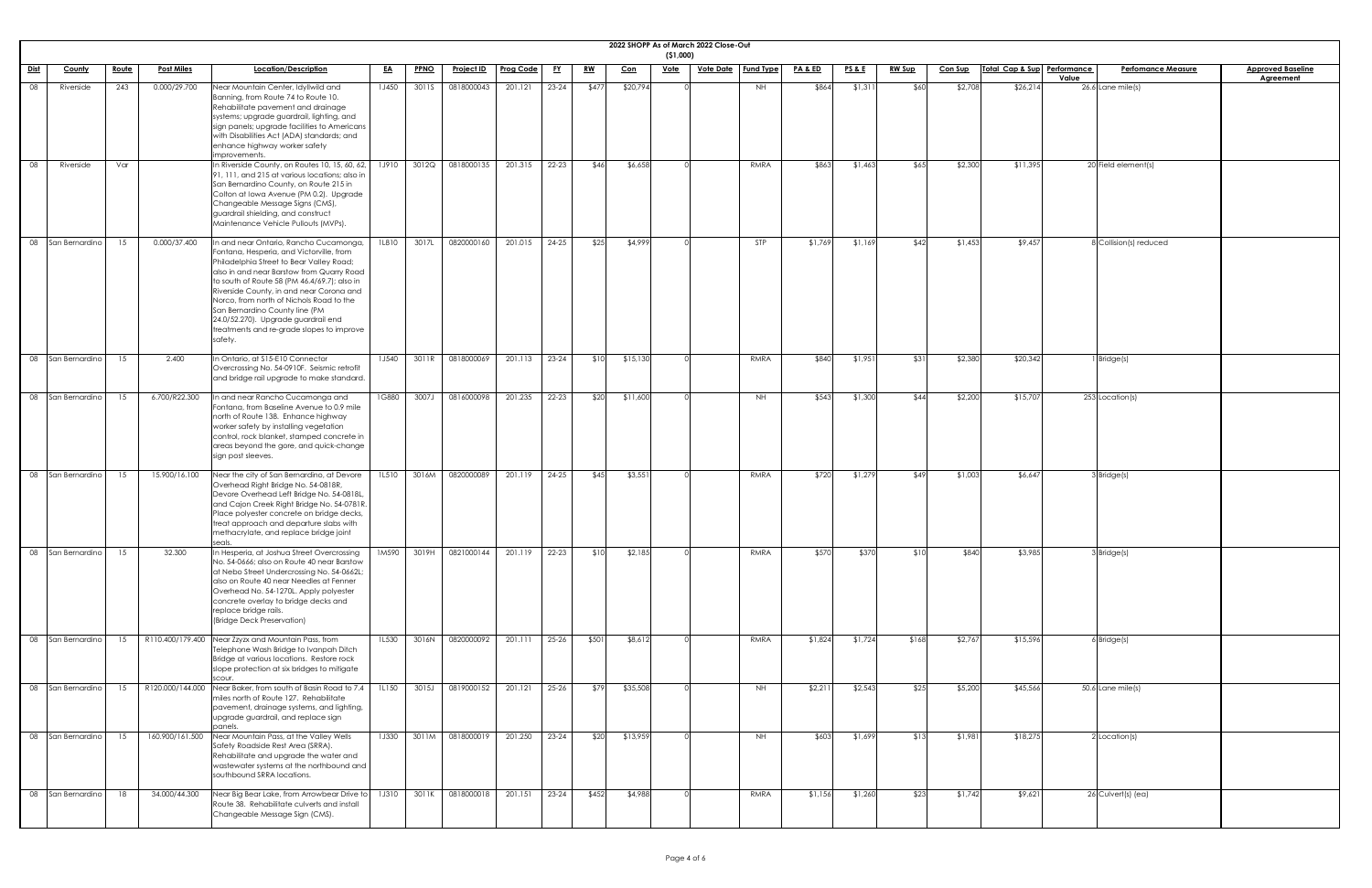|                              |              |                   |                                                                                                                                                                                                                                                                                                                                                                                                                                                      |              |             |                   |                  |           |           |            | (51,000)    | 2022 SHOPP As of March 2022 Close-Out |                  |                    |                 |               |                |                             |                                    |                                              |
|------------------------------|--------------|-------------------|------------------------------------------------------------------------------------------------------------------------------------------------------------------------------------------------------------------------------------------------------------------------------------------------------------------------------------------------------------------------------------------------------------------------------------------------------|--------------|-------------|-------------------|------------------|-----------|-----------|------------|-------------|---------------------------------------|------------------|--------------------|-----------------|---------------|----------------|-----------------------------|------------------------------------|----------------------------------------------|
| <u>Dist</u><br><b>County</b> | <u>Route</u> | <b>Post Miles</b> | Location/Description                                                                                                                                                                                                                                                                                                                                                                                                                                 | <u>EA</u>    | <b>PPNO</b> | <u>Project ID</u> | <b>Prog Code</b> | <u>FY</u> | <u>RW</u> | <u>Con</u> | <u>Vote</u> | <u>Vote Date</u>                      | <b>Fund Type</b> | <u>PA &amp; ED</u> | <u>PS&amp;E</u> | <b>RW Sup</b> | <b>Con Sup</b> | Total Cap & Sup Performance | <b>Perfomance Measure</b><br>Value | <b>Approved Baseline</b><br><b>Agreement</b> |
| 08<br>Riverside              | 243          | 0.000/29.700      | Near Mountain Center, Idyllwild and<br>Banning, from Route 74 to Route 10.<br>Rehabilitate pavement and drainage<br>systems; upgrade guardrail, lighting, and<br>sign panels; upgrade facilities to Americans<br>with Disabilities Act (ADA) standards; and<br>enhance highway worker safety<br>improvements.                                                                                                                                        | 1J450        | 3011S       | 0818000043        | 201.121          | $23 - 24$ | \$477     | \$20,794   |             |                                       | NH               | \$864              | \$1,311         | \$60          | \$2,708        | \$26,214                    | $26.6$ Lane mile(s)                |                                              |
| 08<br>Riverside              | Var          |                   | In Riverside County, on Routes 10, 15, 60, 62,<br>91, 111, and 215 at various locations; also in<br>San Bernardino County, on Route 215 in<br>Colton at Iowa Avenue (PM 0.2). Upgrade<br>Changeable Message Signs (CMS),<br>guardrail shielding, and construct<br>Maintenance Vehicle Pullouts (MVPs).                                                                                                                                               | 1J910        | 3012Q       | 0818000135        | 201.315          | $22 - 23$ | \$46      | \$6,658    |             |                                       | RMRA             | \$863              | \$1,463         | \$65          | \$2,300        | \$11,395                    | 20 Field element(s)                |                                              |
| 08 San Bernardino            | 15           | 0.000/37.400      | In and near Ontario, Rancho Cucamonga,<br>Fontana, Hesperia, and Victorville, from<br>Philadelphia Street to Bear Valley Road;<br>also in and near Barstow from Quarry Road<br>to south of Route 58 (PM 46.4/69.7); also in<br>Riverside County, in and near Corona and<br>Norco, from north of Nichols Road to the<br>San Bernardino County line (PM<br>24.0/52.270). Upgrade guardrail end<br>treatments and re-grade slopes to improve<br>safety. | <b>1L810</b> | 3017L       | 0820000160        | 201.015          | $24 - 25$ | \$25      | \$4,999    |             |                                       | STP              | \$1,769            | \$1,169         | \$42          | \$1,453        | \$9,457                     | 8 Collision(s) reduced             |                                              |
| 08 San Bernardino            | 15           | 2.400             | In Ontario, at \$15-E10 Connector<br>Overcrossing No. 54-0910F. Seismic retrofit<br>and bridge rail upgrade to make standard.                                                                                                                                                                                                                                                                                                                        | 1J540        | 3011R       | 0818000069        | 201.113          | $23 - 24$ | \$10      | \$15,130   |             |                                       | RMRA             | \$840              | \$1,951         | \$31          | \$2,380        | \$20,342                    | Bridge(s)                          |                                              |
| 08 San Bernardino            | 15           | 6.700/R22.300     | In and near Rancho Cucamonga and<br>Fontana, from Baseline Avenue to 0.9 mile<br>north of Route 138. Enhance highway<br>worker safety by installing vegetation<br>control, rock blanket, stamped concrete in<br>areas beyond the gore, and quick-change<br>sign post sleeves.                                                                                                                                                                        | 1G880        | 3007J       | 0816000098        | 201.235          | $22 - 23$ | \$20      | \$11,600   |             |                                       | NH               | \$543              | \$1,300         | \$44          | \$2,200        | \$15,707                    | 253 Location(s)                    |                                              |
| 08 San Bernardino            | 15           | 15.900/16.100     | Near the city of San Bernardino, at Devore<br>Overhead Right Bridge No. 54-0818R,<br>Devore Overhead Left Bridge No. 54-0818L,<br>and Cajon Creek Right Bridge No. 54-0781R.<br>Place polyester concrete on bridge decks,<br>treat approach and departure slabs with<br>methacrylate, and replace bridge joint                                                                                                                                       | 1L510        | 3016M       | 0820000089        | 201.119          | $24 - 25$ | \$45      | \$3,551    |             |                                       | RMRA             | \$720              | \$1,279         | \$49          | \$1,003        | \$6,647                     | 3Bridge(s)                         |                                              |
| 08 San Bernardino            | 15           | 32.300            | In Hesperia, at Joshua Street Overcrossing<br>No. 54-0666; also on Route 40 near Barstow<br>at Nebo Street Undercrossing No. 54-0662L;<br>also on Route 40 near Needles at Fenner<br>Overhead No. 54-1270L. Apply polyester<br>concrete overlay to bridge decks and<br>replace bridge rails.<br>(Bridge Deck Preservation)                                                                                                                           | 1M590        | 3019H       | 0821000144        | 201.119          | $22 - 23$ | \$10      | \$2,185    |             |                                       | RMRA             | \$570              | \$370           | \$10          | \$840          | \$3,985                     | $3$ <i>Bridge(s)</i>               |                                              |
| 08 San Bernardino            | 15           |                   | R110.400/179.400 Near Zzyzx and Mountain Pass, from<br>Telephone Wash Bridge to Ivanpah Ditch<br>Bridge at various locations. Restore rock<br>slope protection at six bridges to mitigate<br>scour.                                                                                                                                                                                                                                                  | 1L530        | 3016N       | 0820000092        | 201.111          | $25 - 26$ | \$501     | \$8,612    |             |                                       | RMRA             | \$1,824            | \$1,724         | \$168         | \$2,767        | \$15,596                    | $6$ Bridge $(s)$                   |                                              |
| 08 San Bernardino            | 15           |                   | R120.000/144.000 Near Baker, from south of Basin Road to 7.4<br>miles north of Route 127. Rehabilitate<br>pavement, drainage systems, and lighting,<br>upgrade guardrail, and replace sign<br>panels.                                                                                                                                                                                                                                                | 1L150        | 3015J       | 0819000152        | 201.121          | $25 - 26$ | \$79      | \$35,508   |             |                                       | <b>NH</b>        | \$2,211            | \$2,543         | \$25          | \$5,200        | \$45,566                    | $50.6$ Lane mile(s)                |                                              |
| 08 San Bernardino            | 15           | 160.900/161.500   | Near Mountain Pass, at the Valley Wells<br>Safety Roadside Rest Area (SRRA).<br>Rehabilitate and upgrade the water and<br>wastewater systems at the northbound and<br>southbound SRRA locations.                                                                                                                                                                                                                                                     | <b>1J330</b> | 3011M       | 0818000019        | 201.250          | $23 - 24$ | \$20      | \$13,959   |             |                                       | <b>NH</b>        | \$603              | \$1,699         | \$13          | \$1,981        | \$18,275                    | $2$ Location(s)                    |                                              |
| 08 San Bernardino            | 18           | 34.000/44.300     | Near Big Bear Lake, from Arrowbear Drive to<br>Route 38. Rehabilitate culverts and install<br>Changeable Message Sign (CMS).                                                                                                                                                                                                                                                                                                                         | <b>1J310</b> | 3011K       | 0818000018        | 201.151          | $23 - 24$ | \$452     | \$4,988    |             |                                       | RMRA             | \$1,156            | \$1,260         | \$23          | \$1,742        | \$9,621                     | 26 Culvert(s) (ea)                 |                                              |

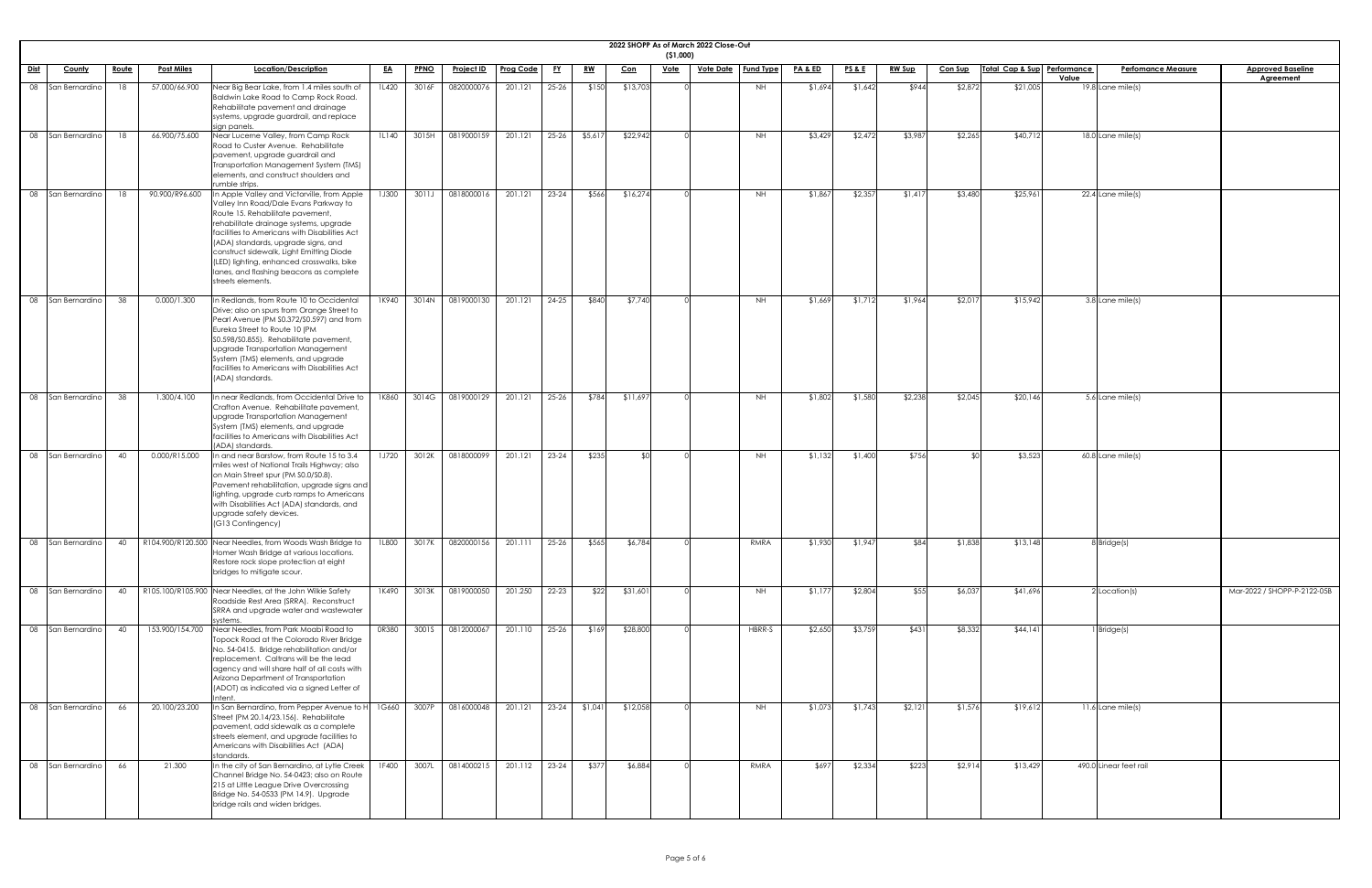|             |                     |              |                   |                                                                                                                                                                                                                                                                                                                                                                                                                     |           |             |                   |           |           |               |            | ( \$1,000)  | 2022 SHOPP As of March 2022 Close-Out |           |                    |                 |               |                |                             |       |                           |                                              |
|-------------|---------------------|--------------|-------------------|---------------------------------------------------------------------------------------------------------------------------------------------------------------------------------------------------------------------------------------------------------------------------------------------------------------------------------------------------------------------------------------------------------------------|-----------|-------------|-------------------|-----------|-----------|---------------|------------|-------------|---------------------------------------|-----------|--------------------|-----------------|---------------|----------------|-----------------------------|-------|---------------------------|----------------------------------------------|
| <u>Dist</u> | <b>County</b>       | <u>Route</u> | <b>Post Miles</b> | Location/Description                                                                                                                                                                                                                                                                                                                                                                                                | <u>EA</u> | <b>PPNO</b> | <u>Project ID</u> | Prog Code | <u>FY</u> | <u>RW</u>     | <u>Con</u> | <u>Vote</u> | <u>Vote Date   Fund Type</u>          |           | <b>PA &amp; ED</b> | <u>PS&amp;E</u> | <u>RW Sup</u> | <b>Con Sup</b> | Total Cap & Sup Performance | Value | <b>Perfomance Measure</b> | <b>Approved Baseline</b><br><b>Agreement</b> |
| 08          | San Bernardino      | 18           | 57.000/66.900     | Near Big Bear Lake, from 1.4 miles south of<br>Baldwin Lake Road to Camp Rock Road.<br>Rehabilitate pavement and drainage<br>systems, upgrade guardrail, and replace<br>sign panels.                                                                                                                                                                                                                                | 1L420     | 3016F       | 0820000076        | 201.121   | $25 - 26$ | \$150         | \$13,703   |             |                                       | <b>NH</b> | \$1,694            | \$1,642         | \$944         | \$2,872        | \$21,005                    |       | $19.8$ Lane mile(s)       |                                              |
|             | 08 San Bernardino   | 18           | 66.900/75.600     | Near Lucerne Valley, from Camp Rock<br>Road to Custer Avenue. Rehabilitate<br>pavement, upgrade guardrail and<br>Transportation Management System (TMS)<br>elements, and construct shoulders and<br>rumble strips.                                                                                                                                                                                                  | 1L140     | 3015H       | 0819000159        | 201.121   | $25 - 26$ | \$5,617       | \$22,942   |             |                                       | <b>NH</b> | \$3,429            | \$2,472         | \$3,987       | \$2,265        | \$40,712                    |       | 18.0 Lane mile(s)         |                                              |
| 08          | San Bernardino      |              | 90.900/R96.600    | In Apple Valley and Victorville, from Apple<br>Valley Inn Road/Dale Evans Parkway to<br>Route 15. Rehabilitate pavement,<br>rehabilitate drainage systems, upgrade<br>facilities to Americans with Disabilities Act<br>(ADA) standards, upgrade signs, and<br>construct sidewalk, Light Emitting Diode<br>(LED) lighting, enhanced crosswalks, bike<br>lanes, and flashing beacons as complete<br>streets elements. | 1J300     | 3011J       | 0818000016        | 201.121   | $23 - 24$ | \$566         | \$16,274   |             |                                       | <b>NH</b> | \$1,867            | \$2,357         | \$1,417       | \$3,480        | \$25,961                    |       | 22.4 Lane mile(s)         |                                              |
|             | 08 San Bernardino   | 38           | 0.000/1.300       | n Redlands, from Route 10 to Occidental<br>Drive; also on spurs from Orange Street to<br>Pearl Avenue (PM S0.372/S0.597) and from<br>Eureka Street to Route 10 (PM<br>S0.598/S0.855). Rehabilitate pavement,<br><b>Upgrade Transportation Management</b><br>System (TMS) elements, and upgrade<br>facilities to Americans with Disabilities Act<br>(ADA) standards.                                                 | 1K940     | 3014N       | 0819000130        | 201.121   | 24-25     | \$840         | \$7,740    |             |                                       | <b>NH</b> | \$1,669            | \$1,712         | \$1,964       | \$2,017        | \$15,942                    |       | 3.8 Lane mile(s)          |                                              |
|             | 08 San Bernardino   | 38           | 1.300/4.100       | In near Redlands, from Occidental Drive to<br>Crafton Avenue. Rehabilitate pavement,<br>upgrade Transportation Management<br>System (TMS) elements, and upgrade<br>facilities to Americans with Disabilities Act<br>(ADA) standards.                                                                                                                                                                                | 1K860     |             | 3014G 0819000129  | 201.121   | $25 - 26$ | \$784         | \$11,697   |             |                                       | <b>NH</b> | \$1,802            | \$1,580         | \$2,238       | \$2,045        | \$20,146                    |       | 5.6 Lane mile(s)          |                                              |
|             | 08 San Bernardino   | 40           | 0.000/R15.000     | In and near Barstow, from Route 15 to 3.4<br>miles west of National Trails Highway; also<br>on Main Street spur (PM S0.0/S0.8).<br>Pavement rehabilitation, upgrade signs and<br>lighting, upgrade curb ramps to Americans<br>with Disabilities Act (ADA) standards, and<br>upgrade safety devices.<br>(G13 Contingency)                                                                                            | 1J720     | 3012K       | 0818000099        | 201.121   | $23 - 24$ | \$235         | SOI.       |             |                                       | NH        | \$1,132            | \$1,400         | \$756         |                | \$3,523                     |       | $60.8$ Lane mile(s)       |                                              |
|             | 08 San Bernardino   | 40           |                   | R104.900/R120.500 Near Needles, from Woods Wash Bridge to<br>Homer Wash Bridge at various locations.<br>Restore rock slope protection at eight<br>bridges to mitigate scour.                                                                                                                                                                                                                                        | 1L800     | 3017K       | 0820000156        | 201.111   | $25 - 26$ | \$565         | \$6,784    |             |                                       | RMRA      | \$1,930            | \$1,947         | \$84          | \$1,838        | \$13,148                    |       | 8 Bridge(s)               |                                              |
| 08          | San Bernardino      | 40           |                   | R105.100/R105.900 Near Needles, at the John Wilkie Safety<br>Roadside Rest Area (SRRA). Reconstruct<br>SRRA and upgrade water and wastewater<br>systems                                                                                                                                                                                                                                                             | 1K490     | 3013K       | 0819000050        | 201.250   | $22 - 23$ | \$22          | \$31,601   |             |                                       | <b>NH</b> | \$1,177            | \$2,804         | \$55          | \$6,037        | \$41,696                    |       | $2$ Location(s)           | Mar-2022 / SHOPP-P-2122-05B                  |
|             | 08 San Bernardino   | $\Delta$     | 153.900/154.700   | Near Needles, from Park Moabi Road to<br>Topock Road at the Colorado River Bridge<br>No. 54-0415. Bridge rehabilitation and/or<br>replacement. Caltrans will be the lead<br>agency and will share half of all costs with<br>Arizona Department of Transportation<br>(ADOT) as indicated via a signed Letter of<br>Intent.                                                                                           | 0R380     | 3001S       | 0812000067        | 201.110   | $25 - 26$ | \$169         | \$28,800   |             |                                       | HBRR-S    | \$2,650            | \$3,759         | \$431         | \$8,332        | \$44,141                    |       | $1$ Bridge(s)             |                                              |
|             | 08 San Bernardino   | 66           | 20.100/23.200     | In San Bernardino, from Pepper Avenue to H<br>Street (PM 20.14/23.156). Rehabilitate<br>pavement, add sidewalk as a complete<br>streets element, and upgrade facilities to<br>Americans with Disabilities Act (ADA)<br>standards                                                                                                                                                                                    | 1G660     | 3007P       | 0816000048        | 201.121   |           | 23-24 \$1,041 | \$12,058   |             |                                       | <b>NH</b> | \$1,073            | \$1,743         | \$2,121       | \$1,576        | \$19,612                    |       | $11.6$ Lane mile(s)       |                                              |
|             | 08   San Bernardino | 66           | 21.300            | In the city of San Bernardino, at Lytle Creek  <br>Channel Bridge No. 54-0423; also on Route<br>215 at Little League Drive Overcrossing<br>Bridge No. 54-0533 (PM 14.9). Upgrade<br>bridge rails and widen bridges.                                                                                                                                                                                                 | 1F400     | 3007L       | 0814000215        | 201.112   | $23-24$   | \$377         | \$6,884    |             |                                       | RMRA      | \$697              | \$2,334         | \$223         | \$2,914        | \$13,429                    |       | 490.0 Linear feet rail    |                                              |

| $22-05B$ |  |
|----------|--|
|          |  |
|          |  |
|          |  |
|          |  |
|          |  |
|          |  |
|          |  |
|          |  |
|          |  |
|          |  |
|          |  |
|          |  |
|          |  |
|          |  |